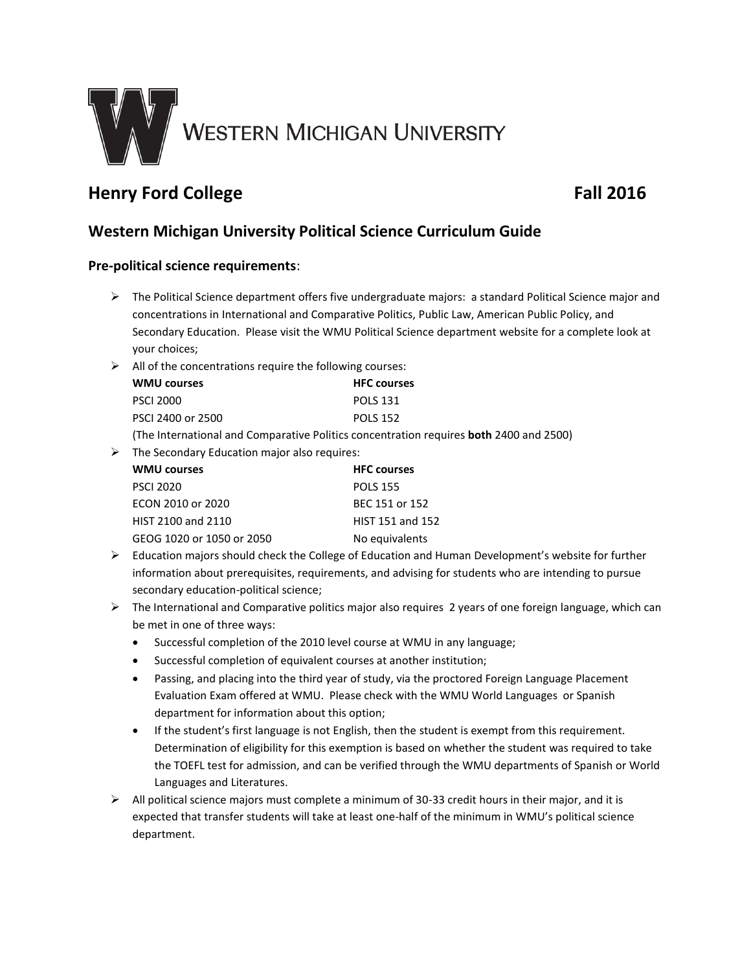

# **Henry Ford College Fall 2016**

## **Western Michigan University Political Science Curriculum Guide**

### **Pre-political science requirements**:

- $\triangleright$  The Political Science department offers five undergraduate majors: a standard Political Science major and concentrations in International and Comparative Politics, Public Law, American Public Policy, and Secondary Education. Please visit the WMU Political Science department website for a complete look at your choices;
- $\triangleright$  All of the concentrations require the following courses:

| <b>WMU courses</b>                                           | <b>HFC courses</b> |
|--------------------------------------------------------------|--------------------|
| <b>PSCI 2000</b>                                             | <b>POLS 131</b>    |
| PSCI 2400 or 2500                                            | <b>POLS 152</b>    |
| The International and Comparative Delities concentration re- |                    |

- (The International and Comparative Politics concentration requires **both** 2400 and 2500)
- $\triangleright$  The Secondary Education major also requires:

| <b>WMU courses</b>        | <b>HFC</b> courses |
|---------------------------|--------------------|
| <b>PSCI 2020</b>          | <b>POLS 155</b>    |
| ECON 2010 or 2020         | BEC 151 or 152     |
| HIST 2100 and 2110        | HIST 151 and 152   |
| GEOG 1020 or 1050 or 2050 | No equivalents     |

- $\triangleright$  Education majors should check the College of Education and Human Development's website for further information about prerequisites, requirements, and advising for students who are intending to pursue secondary education-political science;
- $\triangleright$  The International and Comparative politics major also requires 2 years of one foreign language, which can be met in one of three ways:
	- Successful completion of the 2010 level course at WMU in any language;
	- Successful completion of equivalent courses at another institution;
	- Passing, and placing into the third year of study, via the proctored Foreign Language Placement Evaluation Exam offered at WMU. Please check with the WMU World Languages or Spanish department for information about this option;
	- If the student's first language is not English, then the student is exempt from this requirement. Determination of eligibility for this exemption is based on whether the student was required to take the TOEFL test for admission, and can be verified through the WMU departments of Spanish or World Languages and Literatures.
- $\triangleright$  All political science majors must complete a minimum of 30-33 credit hours in their major, and it is expected that transfer students will take at least one-half of the minimum in WMU's political science department.